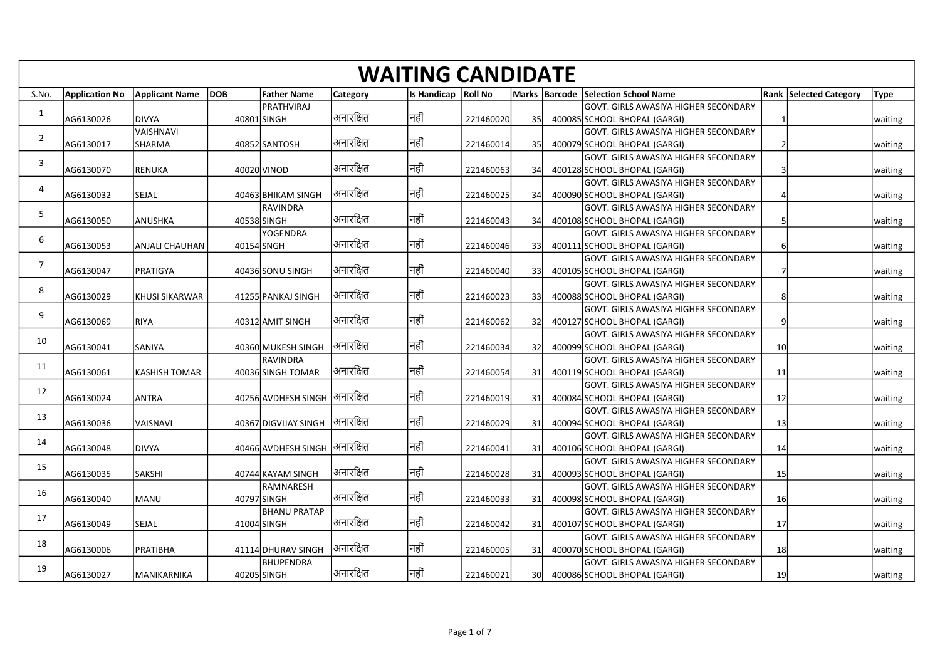|                |           |                                   |             |                                 |                        | <b>WAITING CANDIDATE</b> |           |      |                                                                       |                 |                               |             |
|----------------|-----------|-----------------------------------|-------------|---------------------------------|------------------------|--------------------------|-----------|------|-----------------------------------------------------------------------|-----------------|-------------------------------|-------------|
| S.No.          |           | Application No Applicant Name DOB |             | <b>Father Name</b>              | <b>Category</b>        | Is Handicap   Roll No    |           |      | Marks   Barcode   Selection School Name                               |                 | <b>Rank Selected Category</b> | <b>Type</b> |
|                |           |                                   |             | PRATHVIRAJ                      |                        |                          |           |      | GOVT. GIRLS AWASIYA HIGHER SECONDARY                                  |                 |                               |             |
| 1              | AG6130026 | DIVYA                             | 40801 SINGH |                                 | अनारक्षित              | नहीं                     | 221460020 | -35I | 400085 SCHOOL BHOPAL (GARGI)                                          |                 |                               | waiting     |
| $\overline{2}$ | AG6130017 | VAISHNAVI<br>SHARMA               |             | 40852 SANTOSH                   | अनारक्षित              | नहीं                     | 221460014 | 35I  | GOVT. GIRLS AWASIYA HIGHER SECONDARY<br>400079 SCHOOL BHOPAL (GARGI)  |                 |                               | waiting     |
|                |           |                                   |             |                                 |                        |                          |           |      | GOVT. GIRLS AWASIYA HIGHER SECONDARY                                  |                 |                               |             |
| $\overline{3}$ | AG6130070 | <b>RENUKA</b>                     | 40020 VINOD |                                 | अनारक्षित              | नहीं                     | 221460063 | 34l  | 400128 SCHOOL BHOPAL (GARGI)                                          |                 |                               | waiting     |
| 4              | AG6130032 | SEJAL                             |             | 40463 BHIKAM SINGH              | <sup>।</sup> अनारक्षित | नहीं                     | 221460025 | 34   | GOVT. GIRLS AWASIYA HIGHER SECONDARY<br>400090 SCHOOL BHOPAL (GARGI)  |                 |                               |             |
|                |           |                                   |             | RAVINDRA                        |                        |                          |           |      | GOVT. GIRLS AWASIYA HIGHER SECONDARY                                  |                 |                               | waiting     |
| 5              | AG6130050 | ANUSHKA                           | 40538 SINGH |                                 | अनारक्षित              | नहीं                     | 221460043 | -34l | 400108 SCHOOL BHOPAL (GARGI)                                          |                 |                               | waiting     |
| -6             |           |                                   |             | YOGENDRA                        | अनारक्षित              | नहीं                     |           |      | GOVT. GIRLS AWASIYA HIGHER SECONDARY                                  |                 |                               |             |
|                | AG6130053 | <b>ANJALI CHAUHAN</b>             | 40154 SNGH  |                                 |                        |                          | 221460046 | -33  | 400111 SCHOOL BHOPAL (GARGI)<br>IGOVT. GIRLS AWASIYA HIGHER SECONDARY |                 |                               | waiting     |
| $\overline{7}$ | AG6130047 | PRATIGYA                          |             | 40436 SONU SINGH                | अनारक्षित              | नहीं                     | 221460040 | 331  | 400105 SCHOOL BHOPAL (GARGI)                                          |                 |                               | waiting     |
| 8              |           |                                   |             |                                 | अनारक्षित              | नहीं                     |           |      | GOVT. GIRLS AWASIYA HIGHER SECONDARY                                  |                 |                               |             |
|                | AG6130029 | KHUSI SIKARWAR                    |             | 41255 PANKAJ SINGH              |                        |                          | 221460023 | 33   | 400088 SCHOOL BHOPAL (GARGI)<br>GOVT. GIRLS AWASIYA HIGHER SECONDARY  |                 |                               | waiting     |
| 9              | AG6130069 | RIYA                              |             | 40312 AMIT SINGH                | अनारक्षित              | नहीं                     | 221460062 | -32  | 400127 SCHOOL BHOPAL (GARGI)                                          | q               |                               | waiting     |
| 10             |           |                                   |             |                                 |                        |                          |           |      | GOVT. GIRLS AWASIYA HIGHER SECONDARY                                  |                 |                               |             |
|                | AG6130041 | SANIYA                            |             | 40360 MUKESH SINGH<br> RAVINDRA | अनारक्षित              | नहीं                     | 221460034 | -321 | 400099 SCHOOL BHOPAL (GARGI)<br>GOVT. GIRLS AWASIYA HIGHER SECONDARY  | 10 <sup>1</sup> |                               | waiting     |
| 11             | AG6130061 | <b>KASHISH TOMAR</b>              |             | 40036 SINGH TOMAR               | अनारक्षित              | नहीं                     | 221460054 | 31   | 400119 SCHOOL BHOPAL (GARGI)                                          | 11              |                               | waiting     |
| 12             |           |                                   |             |                                 |                        |                          |           |      | GOVT. GIRLS AWASIYA HIGHER SECONDARY                                  |                 |                               |             |
|                | AG6130024 | <b>ANTRA</b>                      |             | 40256 AVDHESH SINGH  अनारक्षित  |                        | नहीं                     | 221460019 | -31  | 400084 SCHOOL BHOPAL (GARGI)<br>GOVT. GIRLS AWASIYA HIGHER SECONDARY  | 12              |                               | waiting     |
| 13             | AG6130036 | VAISNAVI                          |             | 40367 DIGVIJAY SINGH            | अनारक्षित              | नहीं                     | 221460029 | 31   | 400094 SCHOOL BHOPAL (GARGI)                                          | 13 <sup>1</sup> |                               | waiting     |
| 14             |           |                                   |             |                                 |                        |                          |           |      | IGOVT. GIRLS AWASIYA HIGHER SECONDARY                                 |                 |                               |             |
|                | AG6130048 | <b>DIVYA</b>                      |             | 40466 AVDHESH SINGH  अनारक्षित  |                        | नहीं                     | 221460041 | 31   | 400106 SCHOOL BHOPAL (GARGI)                                          | 14              |                               | waiting     |
| 15             | AG6130035 | <b>SAKSHI</b>                     |             | 40744 KAYAM SINGH               | अनारक्षित              | नहीं                     | 221460028 | 31   | GOVT. GIRLS AWASIYA HIGHER SECONDARY<br>400093 SCHOOL BHOPAL (GARGI)  | 15              |                               | waiting     |
| 16             |           |                                   |             | RAMNARESH                       |                        |                          |           |      | GOVT. GIRLS AWASIYA HIGHER SECONDARY                                  |                 |                               |             |
|                | AG6130040 | MANU                              | 40797 SINGH |                                 | अनारक्षित              | नहीं                     | 221460033 | 31   | 400098 SCHOOL BHOPAL (GARGI)                                          | 16              |                               | waiting     |
| 17             | AG6130049 | SEJAL                             | 41004 SINGH | BHANU PRATAP                    | अनारक्षित              | नहीं                     | 221460042 | 31   | GOVT. GIRLS AWASIYA HIGHER SECONDARY<br>400107 SCHOOL BHOPAL (GARGI)  | 17              |                               | waiting     |
|                |           |                                   |             |                                 |                        |                          |           |      | GOVT. GIRLS AWASIYA HIGHER SECONDARY                                  |                 |                               |             |
| 18             | AG6130006 | PRATIBHA                          |             | 41114 DHURAV SINGH              | अनारक्षित              | नहीं                     | 221460005 | -31  | 400070 SCHOOL BHOPAL (GARGI)                                          | 18              |                               | waiting     |
| 19             | AG6130027 | MANIKARNIKA                       |             | <b>BHUPENDRA</b><br>40205 SINGH | अनारक्षित              | नहीं                     | 221460021 | 30I  | GOVT. GIRLS AWASIYA HIGHER SECONDARY<br>400086 SCHOOL BHOPAL (GARGI)  | 19              |                               | waiting     |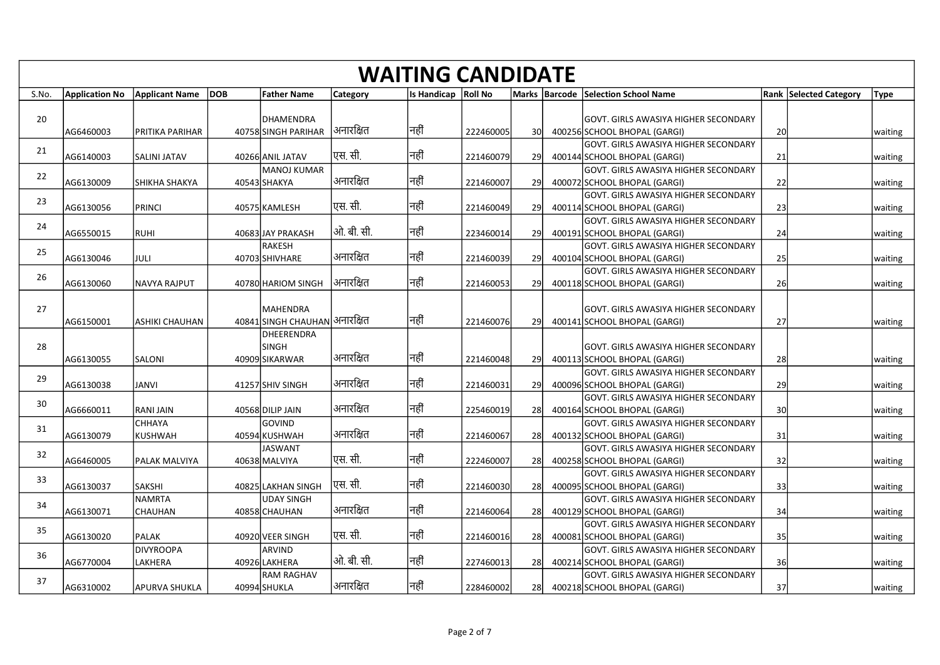| S.No.    | <b>Application No</b>  | Applicant Name DOB               | <b>Father Name</b>                          | <b>Category</b>          | <b>WAITING CANDIDATE</b><br>Is Handicap Roll No |                        |                        | Marks Barcode Selection School Name                                                                          |                 | <b>Rank Selected Category</b><br> Type |
|----------|------------------------|----------------------------------|---------------------------------------------|--------------------------|-------------------------------------------------|------------------------|------------------------|--------------------------------------------------------------------------------------------------------------|-----------------|----------------------------------------|
| 20       | AG6460003              | <b>PRITIKA PARIHAR</b>           | DHAMENDRA<br>40758 SINGH PARIHAR            | अनारक्षित                | नहीं                                            | 222460005              |                        | GOVT. GIRLS AWASIYA HIGHER SECONDARY<br>400256 SCHOOL BHOPAL (GARGI)                                         | 20              | waiting                                |
| 21       | AG6140003              | SALINI JATAV                     | 40266 ANIL JATAV                            | एस. सी.                  | नहीं                                            | 221460079              | 30<br>29               | GOVT. GIRLS AWASIYA HIGHER SECONDARY<br>400144 SCHOOL BHOPAL (GARGI)                                         | 21              | waiting                                |
| 22       | AG6130009              | SHIKHA SHAKYA                    | lmanoj kumar<br>40543 SHAKYA                | अनारक्षित                | नहीं                                            | 221460007              | 29                     | GOVT. GIRLS AWASIYA HIGHER SECONDARY<br>400072 SCHOOL BHOPAL (GARGI)                                         | 22              | waiting                                |
| 23       | AG6130056              | PRINCI                           | 40575 KAMLESH                               | एस. सी.                  | नहीं                                            | 221460049              | -291                   | GOVT. GIRLS AWASIYA HIGHER SECONDARY<br>400114 SCHOOL BHOPAL (GARGI)<br>GOVT. GIRLS AWASIYA HIGHER SECONDARY | -23             | waiting                                |
| 24       | AG6550015              | RUHI                             | 40683 JAY PRAKASH<br>lrakesh                | ओ. बी. सी.               | नहीं                                            | 223460014              | -291                   | 400191 SCHOOL BHOPAL (GARGI)<br>GOVT. GIRLS AWASIYA HIGHER SECONDARY                                         | 24              | waiting                                |
| 25<br>26 | AG6130046              | JULI                             | 40703 SHIVHARE                              | अनारक्षित                | नहीं                                            | 221460039              | <b>29</b>              | 400104 SCHOOL BHOPAL (GARGI)<br>GOVT. GIRLS AWASIYA HIGHER SECONDARY                                         | 25              | waiting                                |
| 27       | AG6130060              | <b>NAVYA RAJPUT</b>              | 40780 HARIOM SINGH<br>MAHENDRA              | अनारक्षित                | नहीं                                            | 221460053              | 29                     | 400118 SCHOOL BHOPAL (GARGI)<br>lGOVT. GIRLS AWASIYA HIGHER SECONDARY                                        | 26              | waiting                                |
|          | AG6150001              | <b>ASHIKI CHAUHAN</b>            | 40841 SINGH CHAUHAN अनारक्षित<br>DHEERENDRA |                          | नहीं                                            | 221460076              | <b>29l</b>             | 400141 SCHOOL BHOPAL (GARGI)                                                                                 | 27              | waiting                                |
| 28       | AG6130055              | SALONI                           | <b>SINGH</b><br>40909 SIKARWAR              | अनारक्षित                | नहीं                                            | 221460048              | -29                    | GOVT. GIRLS AWASIYA HIGHER SECONDARY<br>400113 SCHOOL BHOPAL (GARGI)                                         | 28              | waiting                                |
| 29       | AG6130038              | JANVI                            | 41257 SHIV SINGH                            | अनारक्षित                | नहीं                                            | 221460031              | <b>29</b>              | GOVT. GIRLS AWASIYA HIGHER SECONDARY<br>400096 SCHOOL BHOPAL (GARGI)<br>GOVT. GIRLS AWASIYA HIGHER SECONDARY | - 29            | waiting                                |
| 30       | AG6660011              | <b>RANIJAIN</b><br><b>CHHAYA</b> | 40568 DILIP JAIN<br><b>GOVIND</b>           | अनारक्षित                | नहीं                                            | 225460019              | <b>28</b>              | 400164 SCHOOL BHOPAL (GARGI)<br>GOVT. GIRLS AWASIYA HIGHER SECONDARY                                         | 30 <sup>l</sup> | waiting                                |
| 31       | AG6130079              | KUSHWAH                          | 40594 KUSHWAH<br>JASWANT                    | अनारक्षित                | नहीं                                            | 221460067              | 28                     | 400132 SCHOOL BHOPAL (GARGI)<br>GOVT. GIRLS AWASIYA HIGHER SECONDARY                                         | 31              | waiting                                |
| 32       | AG6460005              | <b>PALAK MALVIYA</b>             | 40638 MALVIYA                               | एस. सी.                  | नहीं                                            | 222460007              | 28                     | 400258 SCHOOL BHOPAL (GARGI)<br>GOVT. GIRLS AWASIYA HIGHER SECONDARY                                         | 32              | waiting                                |
| 33       | AG6130037              | SAKSHI<br>NAMRTA                 | 40825 LAKHAN SINGH<br>UDAY SINGH            | एस. सी.                  | नहीं                                            | 221460030              | 28                     | 400095 SCHOOL BHOPAL (GARGI)<br>GOVT. GIRLS AWASIYA HIGHER SECONDARY                                         | 33              | waiting                                |
| 34       | AG6130071              | CHAUHAN                          | 40858 CHAUHAN                               | अनारक्षित                | नहीं                                            | 221460064              | 28                     | 400129 SCHOOL BHOPAL (GARGI)<br>GOVT. GIRLS AWASIYA HIGHER SECONDARY                                         | 34              | waiting                                |
| 35<br>36 | AG6130020              | <b>PALAK</b><br><b>DIVYROOPA</b> | 40920 VEER SINGH<br>ARVIND                  | एस. सी.                  | नहीं                                            | 221460016              | <b>28</b>              | 400081 SCHOOL BHOPAL (GARGI)<br>GOVT. GIRLS AWASIYA HIGHER SECONDARY                                         | 35              | waiting                                |
| 37       | AG6770004<br>AG6310002 | LAKHERA<br><b>APURVA SHUKLA</b>  | 40926 LAKHERA<br>RAM RAGHAV<br>40994 SHUKLA | ओ. बी. सी.<br> अनारक्षित | नहीं<br> नहीं                                   | 227460013<br>228460002 | <b>28</b><br><b>28</b> | 400214 SCHOOL BHOPAL (GARGI)<br>GOVT. GIRLS AWASIYA HIGHER SECONDARY<br>400218 SCHOOL BHOPAL (GARGI)         | 36<br>37        | waiting<br>waiting                     |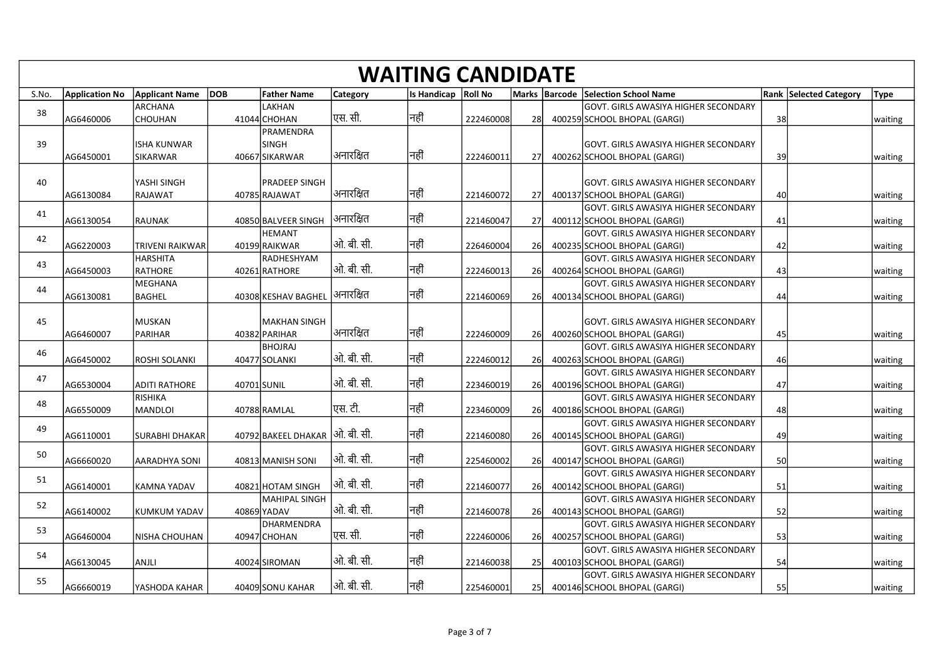|       |                       |                                       |                                 |                 | <b>WAITING CANDIDATE</b> |           |           |                                                                             |      |                               |             |
|-------|-----------------------|---------------------------------------|---------------------------------|-----------------|--------------------------|-----------|-----------|-----------------------------------------------------------------------------|------|-------------------------------|-------------|
| S.No. | <b>Application No</b> | Applicant Name DOB<br>ARCHANA         | <b>Father Name</b><br>LAKHAN    | <b>Category</b> | Is Handicap   Roll No    |           |           | Marks Barcode Selection School Name<br>GOVT. GIRLS AWASIYA HIGHER SECONDARY |      | <b>Rank Selected Category</b> | <b>Type</b> |
| 38    | AG6460006             | <b>CHOUHAN</b>                        | 41044 CHOHAN                    | एस. सी.         | नहीं                     | 222460008 | 28        | 400259 SCHOOL BHOPAL (GARGI)                                                | 38   |                               | waiting     |
|       |                       |                                       | PRAMENDRA                       |                 |                          |           |           |                                                                             |      |                               |             |
| 39    | AG6450001             | <b>ISHA KUNWAR</b><br><b>SIKARWAR</b> | ISINGH<br>40667 SIKARWAR        | अनारक्षित       | नहीं                     | 222460011 | 27        | GOVT. GIRLS AWASIYA HIGHER SECONDARY<br>400262 SCHOOL BHOPAL (GARGI)        | 39   |                               | waiting     |
|       |                       |                                       |                                 |                 |                          |           |           |                                                                             |      |                               |             |
| 40    |                       | YASHI SINGH                           | PRADEEP SINGH                   |                 | नहीं                     |           |           | GOVT. GIRLS AWASIYA HIGHER SECONDARY                                        |      |                               |             |
|       | AG6130084             | RAJAWAT                               | 40785 RAJAWAT                   | अनारक्षित       |                          | 221460072 | <b>27</b> | 400137 SCHOOL BHOPAL (GARGI)<br>GOVT. GIRLS AWASIYA HIGHER SECONDARY        | 40   |                               | waiting     |
| 41    | AG6130054             | <b>RAUNAK</b>                         | 40850 BALVEER SINGH             | अनारक्षित       | नहीं                     | 221460047 | <b>27</b> | 400112 SCHOOL BHOPAL (GARGI)                                                | 41   |                               | waiting     |
| 42    |                       |                                       | <b>HEMANT</b>                   |                 |                          |           |           | GOVT. GIRLS AWASIYA HIGHER SECONDARY                                        |      |                               |             |
|       | AG6220003             | <b>TRIVENI RAIKWAR</b><br>HARSHITA    | 40199 RAIKWAR<br>RADHESHYAM     | ओ. बी. सी.      | नहीं                     | 226460004 | 26        | 400235 SCHOOL BHOPAL (GARGI)<br>GOVT. GIRLS AWASIYA HIGHER SECONDARY        | 42   |                               | waiting     |
| 43    | AG6450003             | RATHORE                               | 40261RATHORE                    | ओ. बी. सी.      | नहीं                     | 222460013 | 26        | 400264 SCHOOL BHOPAL (GARGI)                                                | 43   |                               | waiting     |
| 44    |                       | MEGHANA                               |                                 |                 |                          |           |           | GOVT. GIRLS AWASIYA HIGHER SECONDARY                                        |      |                               |             |
|       | AG6130081             | <b>BAGHEL</b>                         | 40308 KESHAV BAGHEL             | अनारक्षित       | नहीं                     | 221460069 | 26        | 400134 SCHOOL BHOPAL (GARGI)                                                | 44   |                               | waiting     |
| 45    |                       | MUSKAN                                | MAKHAN SINGH                    |                 |                          |           |           | GOVT. GIRLS AWASIYA HIGHER SECONDARY                                        |      |                               |             |
|       | AG6460007             | PARIHAR                               | 40382 PARIHAR                   | अनारक्षित       | नहीं                     | 222460009 | 26        | 400260 SCHOOL BHOPAL (GARGI)                                                | 45   |                               | waiting     |
| 46    | AG6450002             | <b>ROSHI SOLANKI</b>                  | <b>BHOJRAJ</b><br>40477 SOLANKI | ओ. बी. सी.      | नहीं                     | 222460012 | 26        | GOVT. GIRLS AWASIYA HIGHER SECONDARY<br>400263 SCHOOL BHOPAL (GARGI)        | 46   |                               | waiting     |
|       |                       |                                       |                                 |                 |                          |           |           | GOVT. GIRLS AWASIYA HIGHER SECONDARY                                        |      |                               |             |
| 47    | AG6530004             | <b>ADITI RATHORE</b>                  | 40701 SUNIL                     | ओ. बी. सी.      | नहीं                     | 223460019 | 26        | 400196 SCHOOL BHOPAL (GARGI)                                                | -47  |                               | waiting     |
| 48    | AG6550009             | RISHIKA<br>MANDLOI                    | 40788 RAMLAL                    | एस. टी.         | नहीं                     | 223460009 | 26        | GOVT. GIRLS AWASIYA HIGHER SECONDARY<br>400186 SCHOOL BHOPAL (GARGI)        | 48   |                               | waiting     |
|       |                       |                                       |                                 |                 |                          |           |           | GOVT. GIRLS AWASIYA HIGHER SECONDARY                                        |      |                               |             |
| 49    | AG6110001             | <b>SURABHI DHAKAR</b>                 | 40792 ВАКЕЕL DHAKAR  ओ. बी. सी. |                 | नहीं                     | 221460080 | 26        | 400145 SCHOOL BHOPAL (GARGI)                                                | 49   |                               | waiting     |
| 50    | AG6660020             | <b>AARADHYA SONI</b>                  | 40813 MANISH SONI               | ओ. बी. सी.      | नहीं                     | 225460002 | 26        | GOVT. GIRLS AWASIYA HIGHER SECONDARY<br>400147 SCHOOL BHOPAL (GARGI)        | 50   |                               | waiting     |
|       |                       |                                       |                                 |                 |                          |           |           | GOVT. GIRLS AWASIYA HIGHER SECONDARY                                        |      |                               |             |
| 51    | AG6140001             | KAMNA YADAV                           | 40821 HOTAM SINGH               | ओ. बी. सी.      | नहीं                     | 221460077 | 26        | 400142 SCHOOL BHOPAL (GARGI)                                                | 51   |                               | waiting     |
| 52    | AG6140002             | <b>KUMKUM YADAV</b>                   | MAHIPAL SINGH<br>40869 YADAV    | ओ. बी. सी.      | नहीं                     | 221460078 | 26        | GOVT. GIRLS AWASIYA HIGHER SECONDARY<br>400143 SCHOOL BHOPAL (GARGI)        | 52   |                               | waiting     |
|       |                       |                                       | DHARMENDRA                      |                 |                          |           |           | GOVT. GIRLS AWASIYA HIGHER SECONDARY                                        |      |                               |             |
| 53    | AG6460004             | NISHA CHOUHAN                         | 40947 CHOHAN                    | एस. सी.         | नहीं                     | 222460006 | 26        | 400257 SCHOOL BHOPAL (GARGI)                                                | - 53 |                               | waiting     |
| 54    | AG6130045             | ANJLI                                 | 40024 SIROMAN                   | ओ. बी. सी.      | नहीं                     | 221460038 |           | GOVT. GIRLS AWASIYA HIGHER SECONDARY<br>400103 SCHOOL BHOPAL (GARGI)        | 54   |                               |             |
|       |                       |                                       |                                 |                 |                          |           | 25        | GOVT. GIRLS AWASIYA HIGHER SECONDARY                                        |      |                               | waiting     |
| 55    | AG6660019             | YASHODA KAHAR                         | 40409 SONU KAHAR                | ओ. बी. सी.      | नहीं                     | 225460001 | 25        | 400146 SCHOOL BHOPAL (GARGI)                                                | 55   |                               | waiting     |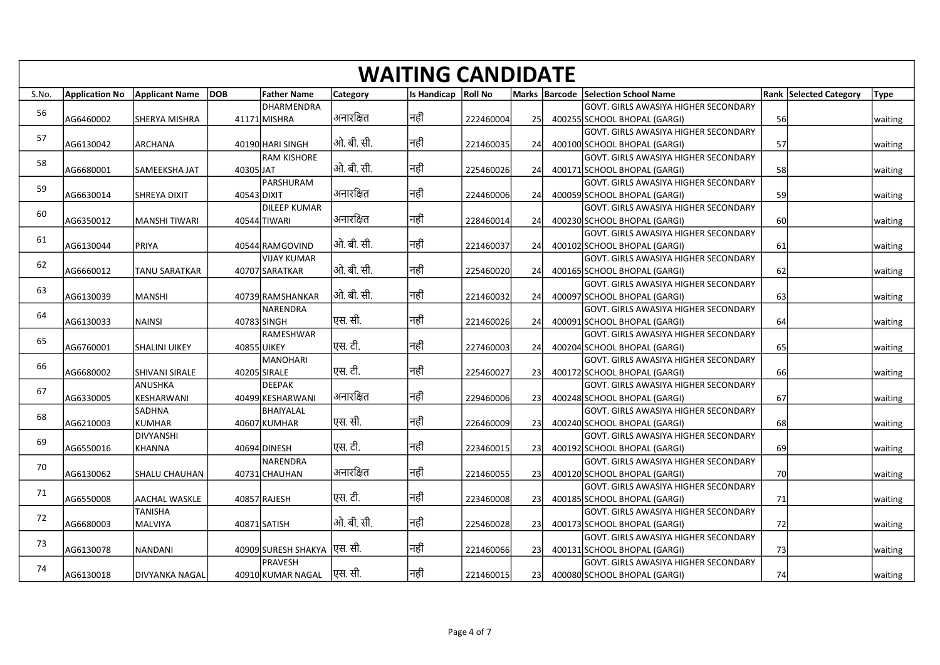| S.No.<br>56<br>57 | <b>Application No</b><br>AG6460002 | Applicant Name DOB        |           |                                       |                 |                          |           |     |                                                                                 |       |                                              |
|-------------------|------------------------------------|---------------------------|-----------|---------------------------------------|-----------------|--------------------------|-----------|-----|---------------------------------------------------------------------------------|-------|----------------------------------------------|
|                   |                                    |                           |           |                                       |                 | <b>WAITING CANDIDATE</b> |           |     |                                                                                 |       |                                              |
|                   |                                    |                           |           | <b>Father Name</b><br>DHARMENDRA      | <b>Category</b> | Is Handicap   Roll No    |           |     | Marks   Barcode   Selection School Name<br>GOVT. GIRLS AWASIYA HIGHER SECONDARY |       | <b>Rank Selected Category</b><br><b>Type</b> |
|                   |                                    | <b>SHERYA MISHRA</b>      |           | 41171 MISHRA                          | अनारक्षित       | नहीं                     | 222460004 | 25  | 400255 SCHOOL BHOPAL (GARGI)                                                    | 56    | waiting                                      |
|                   |                                    |                           |           |                                       |                 |                          |           |     | GOVT. GIRLS AWASIYA HIGHER SECONDARY                                            |       |                                              |
|                   | AG6130042                          | <b>ARCHANA</b>            |           | 40190 HARI SINGH<br>RAM KISHORE       | ओ. बी. सी.      | नहीं                     | 221460035 | 24  | 400100 SCHOOL BHOPAL (GARGI)<br>GOVT. GIRLS AWASIYA HIGHER SECONDARY            | 57    | waiting                                      |
| 58                | AG6680001                          | <b>SAMEEKSHA JAT</b>      | 40305 JAT |                                       | ओ. बी. सी.      | निहीं                    | 225460026 | -24 | 400171 SCHOOL BHOPAL (GARGI)                                                    | -58 l | waiting                                      |
| 59                |                                    |                           |           | PARSHURAM                             |                 |                          |           |     | GOVT. GIRLS AWASIYA HIGHER SECONDARY                                            |       |                                              |
|                   | AG6630014                          | <b>SHREYA DIXIT</b>       |           | 40543 DIXIT<br>DILEEP KUMAR           | अनारक्षित       | नहीं                     | 224460006 | 24  | 400059 SCHOOL BHOPAL (GARGI)<br>GOVT. GIRLS AWASIYA HIGHER SECONDARY            | -59   | waiting                                      |
| 60                | AG6350012                          | MANSHI TIWARI             |           | 40544 TIWARI                          | अनारक्षित       | नहीं                     | 228460014 | 24  | 400230 SCHOOL BHOPAL (GARGI)                                                    | 60    | waiting                                      |
| 61                |                                    |                           |           |                                       |                 |                          |           |     | GOVT. GIRLS AWASIYA HIGHER SECONDARY                                            |       |                                              |
|                   | AG6130044                          | PRIYA                     |           | 40544 RAMGOVIND<br><b>VIJAY KUMAR</b> | ओ. बी. सी.      | नहीं                     | 221460037 | 24  | 400102 SCHOOL BHOPAL (GARGI)<br>GOVT. GIRLS AWASIYA HIGHER SECONDARY            | 61    | waiting                                      |
| 62                | AG6660012                          | <b>TANU SARATKAR</b>      |           | 40707 SARATKAR                        | ओ. बी. सी.      | नहीं                     | 225460020 | 24  | 400165 SCHOOL BHOPAL (GARGI)                                                    | 62    | waiting                                      |
| 63                |                                    |                           |           |                                       |                 |                          |           |     | GOVT. GIRLS AWASIYA HIGHER SECONDARY                                            |       |                                              |
|                   | AG6130039                          | <b>MANSHI</b>             |           | 40739 RAMSHANKAR<br>NARENDRA          | ओ. बी. सी.      | नहीं                     | 221460032 | 24  | 400097 SCHOOL BHOPAL (GARGI)                                                    | 63    | waiting                                      |
| 64                | AG6130033                          | <b>NAINSI</b>             |           | 40783 SINGH                           | <b>एस.</b> सी.  | नहीं                     | 221460026 | 24  | GOVT. GIRLS AWASIYA HIGHER SECONDARY<br>400091 SCHOOL BHOPAL (GARGI)            | 64    | waiting                                      |
| 65                |                                    |                           |           | RAMESHWAR                             |                 |                          |           |     | GOVT. GIRLS AWASIYA HIGHER SECONDARY                                            |       |                                              |
|                   | AG6760001                          | <b>SHALINI UIKEY</b>      |           | 40855 UIKEY                           | एस. टी.         | नहीं                     | 227460003 | 24  | 400204 SCHOOL BHOPAL (GARGI)                                                    | 65    | waiting                                      |
| 66                | AG6680002                          | <b>SHIVANI SIRALE</b>     |           | <b>MANOHARI</b><br>40205 SIRALE       | एस. टी.         | नहीं                     | 225460027 | 23  | GOVT. GIRLS AWASIYA HIGHER SECONDARY<br>400172 SCHOOL BHOPAL (GARGI)            | 66    | waiting                                      |
| 67                |                                    | ANUSHKA                   |           | DEEPAK                                |                 |                          |           |     | GOVT. GIRLS AWASIYA HIGHER SECONDARY                                            |       |                                              |
|                   | AG6330005                          | KESHARWANI                |           | 40499 KESHARWANI                      | अनारक्षित       | निहीं                    | 229460006 | 23  | 400248 SCHOOL BHOPAL (GARGI)                                                    | 67    | waiting                                      |
| 68                | AG6210003                          | SADHNA<br>KUMHAR          |           | BHAIYALAL<br>40607 KUMHAR             | एस. सी.         | नहीं                     | 226460009 | 23  | GOVT. GIRLS AWASIYA HIGHER SECONDARY<br>400240 SCHOOL BHOPAL (GARGI)            | 68    | waiting                                      |
|                   |                                    | DIVYANSHI                 |           |                                       |                 |                          |           |     | GOVT. GIRLS AWASIYA HIGHER SECONDARY                                            |       |                                              |
| 69                | AG6550016                          | KHANNA                    |           | 40694 DINESH                          | पुस. टी.        | नहीं                     | 223460015 | 23  | 400192 SCHOOL BHOPAL (GARGI)                                                    | 69    | waiting                                      |
| 70                | AG6130062                          | <b>SHALU CHAUHAN</b>      |           | NARENDRA<br>40731 CHAUHAN             | अनारक्षित       | नहीं                     | 221460055 | 23  | GOVT. GIRLS AWASIYA HIGHER SECONDARY<br>400120 SCHOOL BHOPAL (GARGI)            | 70    | waiting                                      |
|                   |                                    |                           |           |                                       |                 |                          |           |     | GOVT. GIRLS AWASIYA HIGHER SECONDARY                                            |       |                                              |
| 71                | AG6550008                          | <b>AACHAL WASKLE</b>      |           | 40857 RAJESH                          | पुस. टी.        | नहीं                     | 223460008 | 23  | 400185 SCHOOL BHOPAL (GARGI)                                                    | - 71  | waiting                                      |
| 72                | AG6680003                          | <b>TANISHA</b><br>MALVIYA |           | 40871 SATISH                          | ओ. बी. सी.      | नहीं                     | 225460028 | 23  | GOVT. GIRLS AWASIYA HIGHER SECONDARY<br>400173 SCHOOL BHOPAL (GARGI)            | -721  | waiting                                      |
|                   |                                    |                           |           |                                       |                 |                          |           |     | GOVT. GIRLS AWASIYA HIGHER SECONDARY                                            |       |                                              |
| 73                | AG6130078                          | NANDANI                   |           | 40909 SURESH SHAKYA  एस. सी.          |                 | नहीं                     | 221460066 | 23  | 400131 SCHOOL BHOPAL (GARGI)                                                    | 73    | waiting                                      |
|                   |                                    |                           |           | PRAVESH                               | एस. सी.         | नहीं                     |           |     | GOVT. GIRLS AWASIYA HIGHER SECONDARY<br>400080 SCHOOL BHOPAL (GARGI)            |       | 74<br>waiting                                |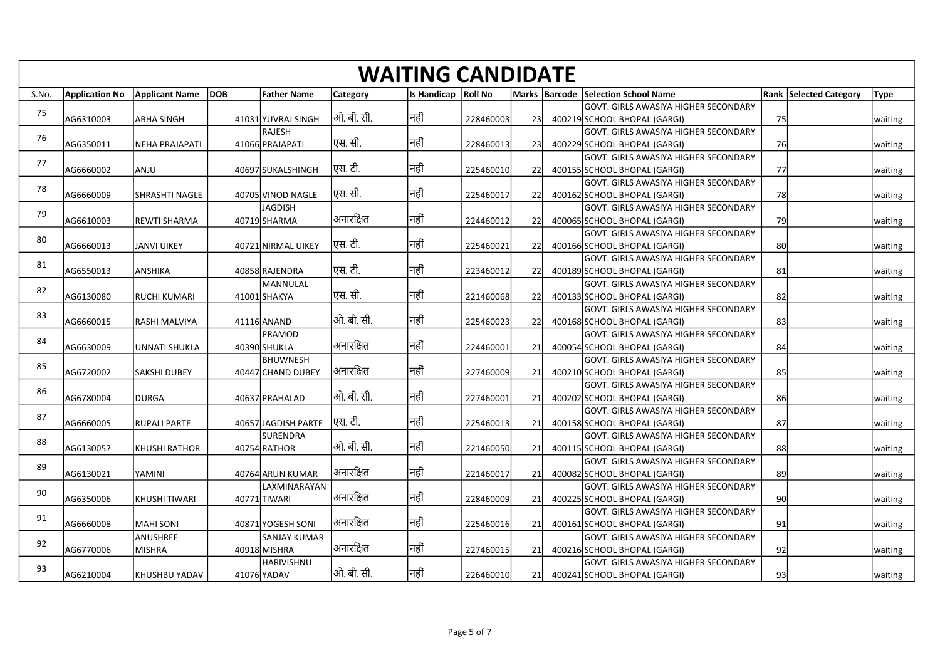|       |                       |                       |                           |            | <b>WAITING CANDIDATE</b> |           |     |                                                                                 |           |                                              |
|-------|-----------------------|-----------------------|---------------------------|------------|--------------------------|-----------|-----|---------------------------------------------------------------------------------|-----------|----------------------------------------------|
| S.No. | <b>Application No</b> | Applicant Name DOB    | <b>Father Name</b>        | Category   | Is Handicap   Roll No    |           |     | Marks   Barcode   Selection School Name<br>GOVT. GIRLS AWASIYA HIGHER SECONDARY |           | <b>Rank Selected Category</b><br><b>Type</b> |
| 75    | AG6310003             | <b>ABHA SINGH</b>     | 41031 YUVRAJ SINGH        | ओ. बी. सी. | नहीं                     | 228460003 | 23  | 400219 SCHOOL BHOPAL (GARGI)                                                    | 75        | waiting                                      |
| 76    |                       |                       | RAJESH                    | एस. सी.    | नहीं                     |           |     | GOVT. GIRLS AWASIYA HIGHER SECONDARY                                            |           |                                              |
|       | AG6350011             | NEHA PRAJAPATI        | 41066 PRAJAPATI           |            |                          | 228460013 | 23  | 400229 SCHOOL BHOPAL (GARGI)<br>GOVT. GIRLS AWASIYA HIGHER SECONDARY            | <b>76</b> | waiting                                      |
| 77    | AG6660002             | ANJU                  | 40697 SUKALSHINGH         | एस. टी.    | नहीं                     | 225460010 | 22  | 400155 SCHOOL BHOPAL (GARGI)                                                    | - 77 I    | waiting                                      |
| 78    | AG6660009             | <b>SHRASHTI NAGLE</b> | 40705 VINOD NAGLE         | ।एस. सी.   | नहीं                     | 225460017 | 22  | GOVT. GIRLS AWASIYA HIGHER SECONDARY<br>400162 SCHOOL BHOPAL (GARGI)            | 78        | waiting                                      |
|       |                       |                       | JAGDISH                   |            |                          |           |     | GOVT. GIRLS AWASIYA HIGHER SECONDARY                                            |           |                                              |
| 79    | AG6610003             | <b>REWTI SHARMA</b>   | 40719 SHARMA              | अनारक्षित  | नहीं                     | 224460012 | 22  | 400065 SCHOOL BHOPAL (GARGI)                                                    | 79I       | waiting                                      |
| 80    | AG6660013             | JANVI UIKEY           | 40721 NIRMAL UIKEY        | एस. टी.    | नहीं                     | 225460021 | -22 | GOVT. GIRLS AWASIYA HIGHER SECONDARY<br>400166 SCHOOL BHOPAL (GARGI)            | 80        | waiting                                      |
| 81    |                       |                       |                           |            |                          |           |     | GOVT. GIRLS AWASIYA HIGHER SECONDARY                                            |           |                                              |
|       | AG6550013             | ANSHIKA               | 40858 RAJENDRA            | पुस. टी.   | नहीं                     | 223460012 | 22  | 400189 SCHOOL BHOPAL (GARGI)                                                    | 81        | waiting                                      |
| 82    | AG6130080             | <b>RUCHI KUMARI</b>   | MANNULAL<br>41001 SHAKYA  | एस. सी.    | नहीं                     | 221460068 | 22  | GOVT. GIRLS AWASIYA HIGHER SECONDARY<br>400133 SCHOOL BHOPAL (GARGI)            | 82        | waiting                                      |
| 83    |                       |                       |                           |            |                          |           |     | GOVT. GIRLS AWASIYA HIGHER SECONDARY                                            |           |                                              |
|       | AG6660015             | RASHI MALVIYA         | 41116 ANAND<br>PRAMOD     | ओ. बी. सी. | नहीं                     | 225460023 | 22  | 400168 SCHOOL BHOPAL (GARGI)<br>GOVT. GIRLS AWASIYA HIGHER SECONDARY            | 83        | waiting                                      |
| 84    | AG6630009             | <b>UNNATI SHUKLA</b>  | 40390 SHUKLA              | अनारक्षित  | नहीं                     | 224460001 | 21  | 400054 SCHOOL BHOPAL (GARGI)                                                    | 84        | waiting                                      |
| 85    |                       |                       | <b>BHUWNESH</b>           |            |                          |           |     | GOVT. GIRLS AWASIYA HIGHER SECONDARY                                            |           |                                              |
|       | AG6720002             | <b>SAKSHI DUBEY</b>   | 40447 CHAND DUBEY         | अनारक्षित  | नहीं                     | 227460009 | 21  | 400210 SCHOOL BHOPAL (GARGI)<br>GOVT. GIRLS AWASIYA HIGHER SECONDARY            | 85        | waiting                                      |
| 86    | AG6780004             | <b>DURGA</b>          | 40637 PRAHALAD            | ओ. बी. सी. | नहीं                     | 227460001 | 21  | 400202 SCHOOL BHOPAL (GARGI)                                                    | 86        | waiting                                      |
| 87    |                       |                       | 40657 JAGDISH PARTE       | एस. टी.    | नहीं                     |           |     | GOVT. GIRLS AWASIYA HIGHER SECONDARY                                            |           |                                              |
|       | AG6660005             | <b>RUPALI PARTE</b>   | SURENDRA                  |            |                          | 225460013 | 21  | 400158 SCHOOL BHOPAL (GARGI)<br>GOVT. GIRLS AWASIYA HIGHER SECONDARY            | 87        | waiting                                      |
| 88    | AG6130057             | <b>KHUSHI RATHOR</b>  | 40754 RATHOR              | ओ. बी. सी. | नहीं                     | 221460050 | 21  | 400115 SCHOOL BHOPAL (GARGI)                                                    | 88        | waiting                                      |
| 89    | AG6130021             | YAMINI                | 40764 ARUN KUMAR          | अनारक्षित  | नहीं                     | 221460017 | 21  | GOVT. GIRLS AWASIYA HIGHER SECONDARY<br>400082 SCHOOL BHOPAL (GARGI)            | 89        | waiting                                      |
| 90    |                       |                       | LAXMINARAYAN              |            |                          |           |     | GOVT. GIRLS AWASIYA HIGHER SECONDARY                                            |           |                                              |
|       | AG6350006             | KHUSHI TIWARI         | 40771 TIWARI              | अनारक्षित  | नहीं                     | 228460009 | 21  | 400225 SCHOOL BHOPAL (GARGI)                                                    | 90l       | waiting                                      |
| 91    | AG6660008             | MAHI SONI             | 40871 YOGESH SONI         | अनारक्षित  | नहीं                     | 225460016 | 21  | GOVT. GIRLS AWASIYA HIGHER SECONDARY<br>400161 SCHOOL BHOPAL (GARGI)            | 91        | waiting                                      |
| 92    |                       | ANUSHREE              | SANJAY KUMAR              |            |                          |           |     | GOVT. GIRLS AWASIYA HIGHER SECONDARY                                            |           |                                              |
|       | AG6770006             | MISHRA                | 40918 MISHRA              | अनारक्षित  | नहीं                     | 227460015 | 21  | 400216 SCHOOL BHOPAL (GARGI)                                                    | 92        | waiting                                      |
| 93    | AG6210004             | KHUSHBU YADAV         | HARIVISHNU<br>41076 YADAV | ओ. बी. सी. | नहीं                     | 226460010 | 21  | GOVT. GIRLS AWASIYA HIGHER SECONDARY<br>400241 SCHOOL BHOPAL (GARGI)            | 93        | waiting                                      |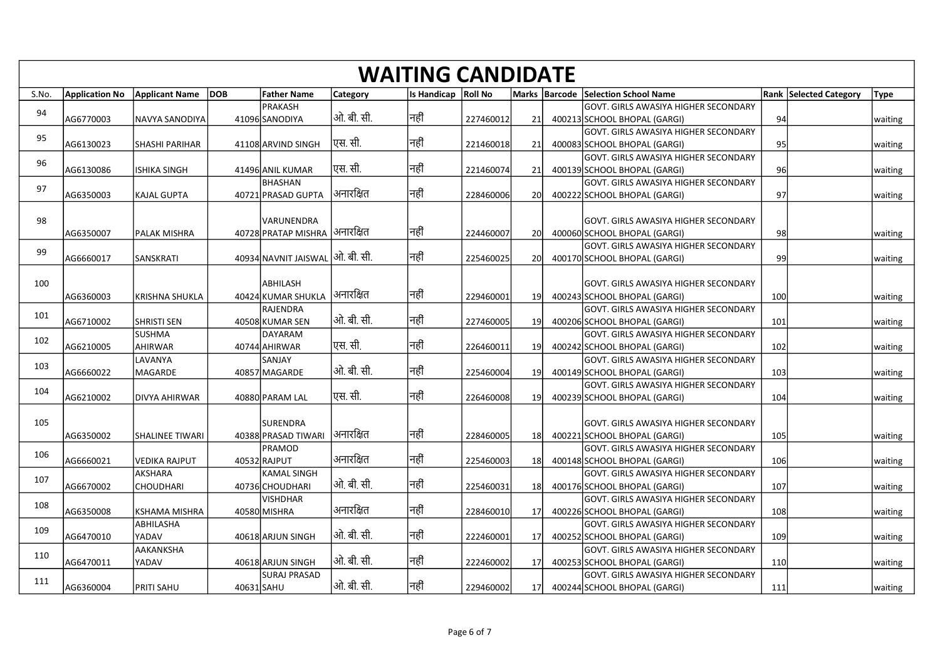|       |                       |                                     |                                           |                 | <b>WAITING CANDIDATE</b> |           |                 |                                                                             |     |                               |         |
|-------|-----------------------|-------------------------------------|-------------------------------------------|-----------------|--------------------------|-----------|-----------------|-----------------------------------------------------------------------------|-----|-------------------------------|---------|
| S.No. | <b>Application No</b> | Applicant Name DOB                  | <b>Father Name</b><br>PRAKASH             | <b>Category</b> | Is Handicap Roll No      |           |                 | Marks Barcode Selection School Name<br>GOVT. GIRLS AWASIYA HIGHER SECONDARY |     | <b>Rank Selected Category</b> | Type    |
| 94    | AG6770003             | NAVYA SANODIYA                      | 41096 SANODIYA                            | ओ. बी. सी.      | नहीं                     | 227460012 | 21              | 400213 SCHOOL BHOPAL (GARGI)                                                | 94  |                               | waiting |
| 95    | AG6130023             | <b>SHASHI PARIHAR</b>               | 41108 ARVIND SINGH                        | एस. सी.         | नहीं                     | 221460018 | <b>21</b>       | GOVT. GIRLS AWASIYA HIGHER SECONDARY<br>400083 SCHOOL BHOPAL (GARGI)        | 95  |                               | waiting |
| 96    | AG6130086             | <b>ISHIKA SINGH</b>                 | 41496 ANIL KUMAR                          | एस. सी.         | नहीं                     | 221460074 | 21              | GOVT. GIRLS AWASIYA HIGHER SECONDARY<br>400139 SCHOOL BHOPAL (GARGI)        | 96  |                               | waiting |
| 97    |                       |                                     | BHASHAN                                   |                 |                          |           |                 | GOVT. GIRLS AWASIYA HIGHER SECONDARY                                        |     |                               |         |
|       | AG6350003             | <b>KAJAL GUPTA</b>                  | 40721 PRASAD GUPTA                        | अनारक्षित       | नहीं                     | 228460006 | <b>20</b>       | 400222 SCHOOL BHOPAL (GARGI)                                                | 97  |                               | waiting |
| 98    | AG6350007             | <b>PALAK MISHRA</b>                 | VARUNENDRA<br>40728 PRATAP MISHRA         | अनारक्षित       | नहीं                     | 224460007 | <b>20</b>       | GOVT. GIRLS AWASIYA HIGHER SECONDARY<br>400060 SCHOOL BHOPAL (GARGI)        | 98  |                               | waiting |
| 99    |                       |                                     |                                           |                 |                          |           |                 | GOVT. GIRLS AWASIYA HIGHER SECONDARY                                        |     |                               |         |
|       | AG6660017             | SANSKRATI                           | 40934 NAVNIT JAISWAL  ओ. बी. सी.          |                 | नहीं                     | 225460025 | <b>20</b>       | 400170 SCHOOL BHOPAL (GARGI)                                                | 99  |                               | waiting |
| 100   |                       |                                     | ABHILASH                                  |                 |                          |           |                 | GOVT. GIRLS AWASIYA HIGHER SECONDARY                                        |     |                               |         |
|       | AG6360003             | KRISHNA SHUKLA                      | 40424 KUMAR SHUKLA  अनारक्षित<br>RAJENDRA |                 | नहीं                     | 229460001 | 19              | 400243 SCHOOL BHOPAL (GARGI)<br>GOVT. GIRLS AWASIYA HIGHER SECONDARY        | 100 |                               | waiting |
| 101   | AG6710002             | <b>SHRISTI SEN</b><br><b>SUSHMA</b> | 40508 KUMAR SEN<br>DAYARAM                | ओ. बी. सी.      | नहीं                     | 227460005 | <b>19</b>       | 400206 SCHOOL BHOPAL (GARGI)                                                | 101 |                               | waiting |
| 102   | AG6210005             | AHIRWAR                             | 40744 AHIRWAR                             | एस. सी.         | नहीं                     | 226460011 | 19              | GOVT. GIRLS AWASIYA HIGHER SECONDARY<br>400242 SCHOOL BHOPAL (GARGI)        | 102 |                               | waiting |
| 103   | AG6660022             | LAVANYA<br>MAGARDE                  | SANJAY<br>40857 MAGARDE                   | ओ. बी. सी.      | नहीं                     | 225460004 | 19              | GOVT. GIRLS AWASIYA HIGHER SECONDARY<br>400149 SCHOOL BHOPAL (GARGI)        | 103 |                               | waiting |
| 104   |                       |                                     |                                           |                 |                          |           |                 | GOVT. GIRLS AWASIYA HIGHER SECONDARY                                        |     |                               |         |
|       | AG6210002             | DIVYA AHIRWAR                       | 40880 PARAM LAL                           | एस. सी.         | नहीं                     | 226460008 | 19l             | 400239 SCHOOL BHOPAL (GARGI)                                                | 104 |                               | waiting |
| 105   |                       | SHALINEE TIWARI                     | SURENDRA<br>40388 PRASAD TIWARI           | अनारक्षित       | नहीं                     |           |                 | GOVT. GIRLS AWASIYA HIGHER SECONDARY<br>400221 SCHOOL BHOPAL (GARGI)        |     |                               |         |
| 106   | AG6350002             |                                     | <b>PRAMOD</b>                             |                 |                          | 228460005 | 18              | GOVT. GIRLS AWASIYA HIGHER SECONDARY                                        | 105 |                               | waiting |
|       | AG6660021             | <b>VEDIKA RAJPUT</b><br>AKSHARA     | 40532 RAJPUT<br><b>KAMAL SINGH</b>        | अनारक्षित       | नहीं                     | 225460003 | 18              | 400148 SCHOOL BHOPAL (GARGI)<br>GOVT. GIRLS AWASIYA HIGHER SECONDARY        | 106 |                               | waiting |
| 107   | AG6670002             | <b>CHOUDHARI</b>                    | 40736 CHOUDHARI                           | ओ. बी. सी.      | नहीं                     | 225460031 | 18              | 400176 SCHOOL BHOPAL (GARGI)                                                | 107 |                               | waiting |
| 108   | AG6350008             | KSHAMA MISHRA                       | <b>VISHDHAR</b><br>40580 MISHRA           | अनारक्षित       | नहीं                     | 228460010 | 17 <sup>1</sup> | GOVT. GIRLS AWASIYA HIGHER SECONDARY<br>400226 SCHOOL BHOPAL (GARGI)        | 108 |                               | waiting |
| 109   |                       | ABHILASHA                           |                                           | ओ. बी. सी.      | नहीं                     |           |                 | GOVT. GIRLS AWASIYA HIGHER SECONDARY                                        |     |                               |         |
| 110   | AG6470010             | YADAV<br>AAKANKSHA                  | 40618 ARJUN SINGH                         |                 |                          | 222460001 | 17              | 400252 SCHOOL BHOPAL (GARGI)<br>GOVT. GIRLS AWASIYA HIGHER SECONDARY        | 109 |                               | waiting |
|       | AG6470011             | YADAV                               | 40618 ARJUN SINGH<br>SURAJ PRASAD         | ओ. बी. सी.      | नहीं                     | 222460002 | 17 <sup>1</sup> | 400253 SCHOOL BHOPAL (GARGI)<br>GOVT. GIRLS AWASIYA HIGHER SECONDARY        | 110 |                               | waiting |
| 111   | AG6360004             | <b>PRITI SAHU</b>                   | 40631 SAHU                                | ओ. बी. सी.      | नहीं                     | 229460002 | 17l             | 400244 SCHOOL BHOPAL (GARGI)                                                | 111 |                               | waiting |